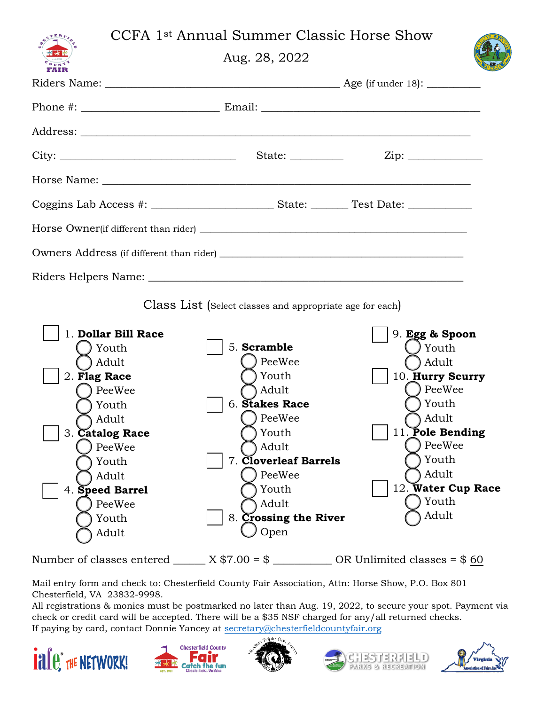## CCFA 1st Annual Summer Classic Horse Show

Aug. 28, 2022



| FAIR                                                                                                                                                                                                                |                                                                                                                                                                                                    |                                                                                                                                                                                                                  |
|---------------------------------------------------------------------------------------------------------------------------------------------------------------------------------------------------------------------|----------------------------------------------------------------------------------------------------------------------------------------------------------------------------------------------------|------------------------------------------------------------------------------------------------------------------------------------------------------------------------------------------------------------------|
|                                                                                                                                                                                                                     |                                                                                                                                                                                                    |                                                                                                                                                                                                                  |
|                                                                                                                                                                                                                     |                                                                                                                                                                                                    |                                                                                                                                                                                                                  |
|                                                                                                                                                                                                                     |                                                                                                                                                                                                    |                                                                                                                                                                                                                  |
|                                                                                                                                                                                                                     |                                                                                                                                                                                                    |                                                                                                                                                                                                                  |
|                                                                                                                                                                                                                     |                                                                                                                                                                                                    |                                                                                                                                                                                                                  |
|                                                                                                                                                                                                                     |                                                                                                                                                                                                    |                                                                                                                                                                                                                  |
|                                                                                                                                                                                                                     |                                                                                                                                                                                                    |                                                                                                                                                                                                                  |
|                                                                                                                                                                                                                     |                                                                                                                                                                                                    |                                                                                                                                                                                                                  |
|                                                                                                                                                                                                                     | Class List (Select classes and appropriate age for each)                                                                                                                                           |                                                                                                                                                                                                                  |
| 1. Dollar Bill Race<br>) Youth<br>) Adult<br>2. Flag Race<br>PeeWee<br>Youth<br>Adult)<br>3. Catalog Race<br>PeeWee<br>) Youth<br>Adult<br>4. Speed Barrel<br>PeeWee<br>Youth<br>Adult<br>Number of classes entered | 5. Scramble<br>) PeeWee<br>) Youth<br>Adult<br>6. Stakes Race<br>PeeWee<br>Youth<br>) Adult<br>7. Cloverleaf Barrels<br>PeeWee<br>Youth<br>Adult<br>8. Crossing the River<br>Open<br>$X $7.00 = $$ | 9. Egg & Spoon<br>J Youth<br>) Adult<br>10. Hurry Scurry<br>PeeWee<br>) Youth<br>Adult<br>11. Pole Bending<br>) PeeWee<br>Youth<br>Adult<br>12. Water Cup Race<br>Youth<br>Adult<br>OR Unlimited classes = $$60$ |

Mail entry form and check to: Chesterfield County Fair Association, Attn: Horse Show, P.O. Box 801 Chesterfield, VA 23832-9998.

All registrations & monies must be postmarked no later than Aug. 19, 2022, to secure your spot. Payment via check or credit card will be accepted. There will be a \$35 NSF charged for any/all returned checks. If paying by card, contact Donnie Yancey at [secretary@chesterfieldcountyfair.org](mailto:secretary@chesterfieldcountyfair.org)